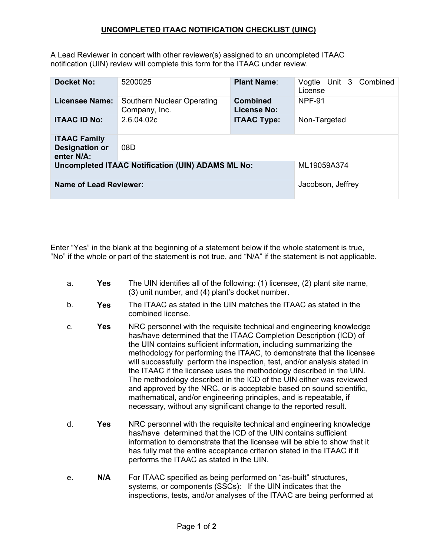## **UNCOMPLETED ITAAC NOTIFICATION CHECKLIST (UINC)**

A Lead Reviewer in concert with other reviewer(s) assigned to an uncompleted ITAAC notification (UIN) review will complete this form for the ITAAC under review.

| <b>Docket No:</b>                                          | 5200025                                     | <b>Plant Name:</b>                    | Vogtle Unit 3 Combined<br>License |
|------------------------------------------------------------|---------------------------------------------|---------------------------------------|-----------------------------------|
| Licensee Name:                                             | Southern Nuclear Operating<br>Company, Inc. | <b>Combined</b><br><b>License No:</b> | <b>NPF-91</b>                     |
| <b>ITAAC ID No:</b>                                        | 2.6.04.02c                                  | <b>ITAAC Type:</b>                    | Non-Targeted                      |
| <b>ITAAC Family</b><br><b>Designation or</b><br>enter N/A: | 08D                                         |                                       |                                   |
| <b>Uncompleted ITAAC Notification (UIN) ADAMS ML No:</b>   |                                             |                                       | ML19059A374                       |
| <b>Name of Lead Reviewer:</b>                              |                                             |                                       | Jacobson, Jeffrey                 |

Enter "Yes" in the blank at the beginning of a statement below if the whole statement is true, "No" if the whole or part of the statement is not true, and "N/A" if the statement is not applicable.

- a. **Yes** The UIN identifies all of the following: (1) licensee, (2) plant site name, (3) unit number, and (4) plant's docket number.
- b. **Yes** The ITAAC as stated in the UIN matches the ITAAC as stated in the combined license.
- c. **Yes** NRC personnel with the requisite technical and engineering knowledge has/have determined that the ITAAC Completion Description (ICD) of the UIN contains sufficient information, including summarizing the methodology for performing the ITAAC, to demonstrate that the licensee will successfully perform the inspection, test, and/or analysis stated in the ITAAC if the licensee uses the methodology described in the UIN. The methodology described in the ICD of the UIN either was reviewed and approved by the NRC, or is acceptable based on sound scientific, mathematical, and/or engineering principles, and is repeatable, if necessary, without any significant change to the reported result.
- d. **Yes** NRC personnel with the requisite technical and engineering knowledge has/have determined that the ICD of the UIN contains sufficient information to demonstrate that the licensee will be able to show that it has fully met the entire acceptance criterion stated in the ITAAC if it performs the ITAAC as stated in the UIN.
- e. **N/A** For ITAAC specified as being performed on "as-built" structures, systems, or components (SSCs): If the UIN indicates that the inspections, tests, and/or analyses of the ITAAC are being performed at